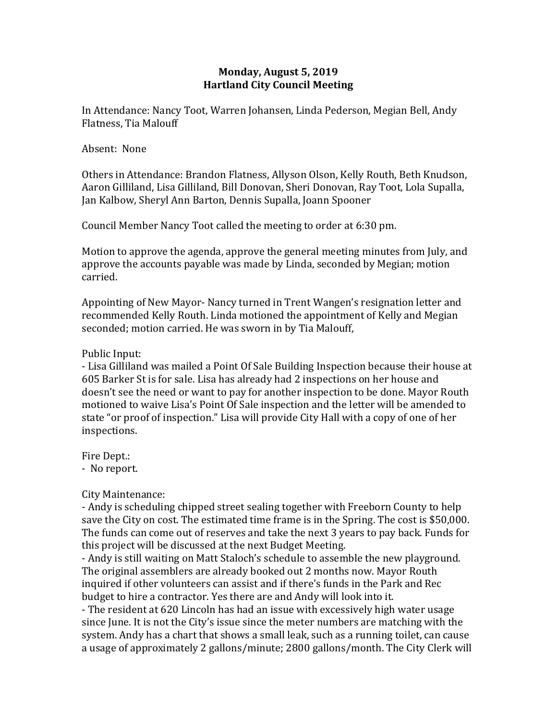# **Monday, August 5, 2019 Hartland City Council Meeting**

In Attendance: Nancy Toot, Warren Johansen, Linda Pederson, Megian Bell, Andy Flatness, Tia Malouff

#### Absent: None

Others in Attendance: Brandon Flatness, Allyson Olson, Kelly Routh, Beth Knudson, Aaron Gilliland, Lisa Gilliland, Bill Donovan, Sheri Donovan, Ray Toot, Lola Supalla, Jan Kalbow, Sheryl Ann Barton, Dennis Supalla, Joann Spooner

Council Member Nancy Toot called the meeting to order at 6:30 pm.

Motion to approve the agenda, approve the general meeting minutes from July, and approve the accounts payable was made by Linda, seconded by Megian; motion carried.

Appointing of New Mayor- Nancy turned in Trent Wangen's resignation letter and recommended Kelly Routh. Linda motioned the appointment of Kelly and Megian seconded; motion carried. He was sworn in by Tia Malouff,

#### Public Input:

- Lisa Gilliland was mailed a Point Of Sale Building Inspection because their house at 605 Barker St is for sale. Lisa has already had 2 inspections on her house and doesn't see the need or want to pay for another inspection to be done. Mayor Routh motioned to waive Lisa's Point Of Sale inspection and the letter will be amended to state "or proof of inspection." Lisa will provide City Hall with a copy of one of her inspections.

Fire Dept.:

- No report.

## City Maintenance:

- Andy is scheduling chipped street sealing together with Freeborn County to help save the City on cost. The estimated time frame is in the Spring. The cost is \$50,000. The funds can come out of reserves and take the next 3 years to pay back. Funds for this project will be discussed at the next Budget Meeting.

- Andy is still waiting on Matt Staloch's schedule to assemble the new playground. The original assemblers are already booked out 2 months now. Mayor Routh inquired if other volunteers can assist and if there's funds in the Park and Rec budget to hire a contractor. Yes there are and Andy will look into it.

- The resident at 620 Lincoln has had an issue with excessively high water usage since June. It is not the City's issue since the meter numbers are matching with the system. Andy has a chart that shows a small leak, such as a running toilet, can cause a usage of approximately 2 gallons/minute; 2800 gallons/month. The City Clerk will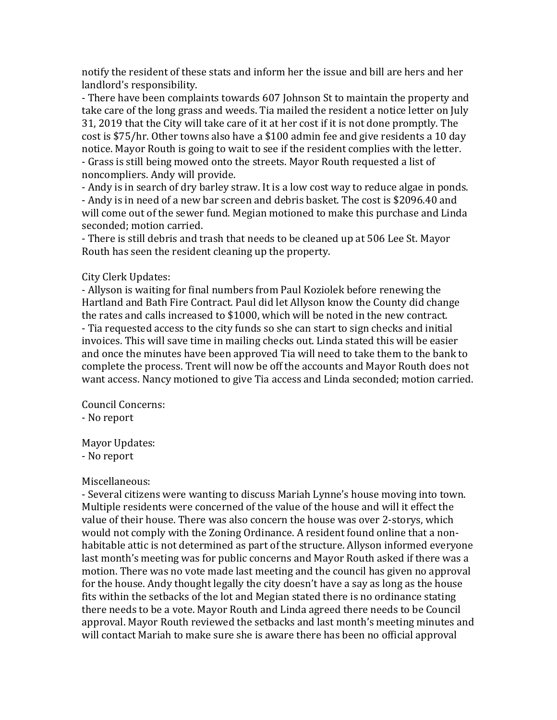notify the resident of these stats and inform her the issue and bill are hers and her landlord's responsibility.

- There have been complaints towards 607 Johnson St to maintain the property and take care of the long grass and weeds. Tia mailed the resident a notice letter on July 31, 2019 that the City will take care of it at her cost if it is not done promptly. The cost is \$75/hr. Other towns also have a \$100 admin fee and give residents a 10 day notice. Mayor Routh is going to wait to see if the resident complies with the letter. - Grass is still being mowed onto the streets. Mayor Routh requested a list of noncompliers. Andy will provide.

- Andy is in search of dry barley straw. It is a low cost way to reduce algae in ponds.

- Andy is in need of a new bar screen and debris basket. The cost is \$2096.40 and will come out of the sewer fund. Megian motioned to make this purchase and Linda seconded; motion carried.

- There is still debris and trash that needs to be cleaned up at 506 Lee St. Mayor Routh has seen the resident cleaning up the property.

## City Clerk Updates:

- Allyson is waiting for final numbers from Paul Koziolek before renewing the Hartland and Bath Fire Contract. Paul did let Allyson know the County did change the rates and calls increased to \$1000, which will be noted in the new contract. - Tia requested access to the city funds so she can start to sign checks and initial invoices. This will save time in mailing checks out. Linda stated this will be easier and once the minutes have been approved Tia will need to take them to the bank to complete the process. Trent will now be off the accounts and Mayor Routh does not want access. Nancy motioned to give Tia access and Linda seconded; motion carried.

Council Concerns: - No report

Mayor Updates:

- No report

## Miscellaneous:

- Several citizens were wanting to discuss Mariah Lynne's house moving into town. Multiple residents were concerned of the value of the house and will it effect the value of their house. There was also concern the house was over 2-storys, which would not comply with the Zoning Ordinance. A resident found online that a nonhabitable attic is not determined as part of the structure. Allyson informed everyone last month's meeting was for public concerns and Mayor Routh asked if there was a motion. There was no vote made last meeting and the council has given no approval for the house. Andy thought legally the city doesn't have a say as long as the house fits within the setbacks of the lot and Megian stated there is no ordinance stating there needs to be a vote. Mayor Routh and Linda agreed there needs to be Council approval. Mayor Routh reviewed the setbacks and last month's meeting minutes and will contact Mariah to make sure she is aware there has been no official approval